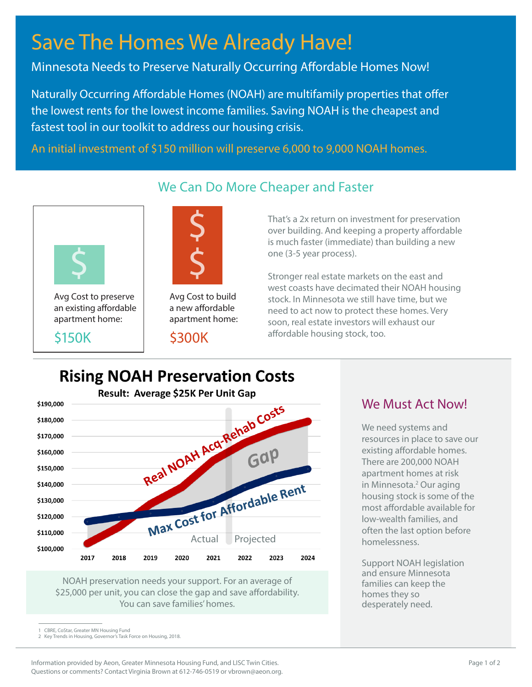# Save The Homes We Already Have!

Minnesota Needs to Preserve Naturally Occurring Affordable Homes Now!

Naturally Occurring Affordable Homes (NOAH) are multifamily properties that offer the lowest rents for the lowest income families. Saving NOAH is the cheapest and fastest tool in our toolkit to address our housing crisis.

We Can Do More Cheaper and Faster

An initial investment of \$150 million will preserve 6,000 to 9,000 NOAH homes.



Avg Cost to preserve an existing affordable apartment home:

\$150K



Avg Cost to build a new affordable apartment home:

#### \$300K

That's a 2x return on investment for preservation over building. And keeping a property affordable is much faster (immediate) than building a new one (3-5 year process).

Stronger real estate markets on the east and west coasts have decimated their NOAH housing stock. In Minnesota we still have time, but we need to act now to protect these homes. Very soon, real estate investors will exhaust our affordable housing stock, too.

# **Rising NOAH Preservation Costs**



NOAH preservation needs your support. For an average of \$25,000 per unit, you can close the gap and save affordability. You can save families' homes.

## We Must Act Now!

We need systems and resources in place to save our existing affordable homes. There are 200,000 NOAH apartment homes at risk in Minnesota.<sup>2</sup> Our aging housing stock is some of the most affordable available for low-wealth families, and often the last option before homelessness.

Support NOAH legislation and ensure Minnesota families can keep the homes they so desperately need.

## 1 CBRE, CoStar, Greater MN Housing Fund 2 Key Trends in Housing, Governor's Task Force on Housing, 2018.

Information provided by Aeon, Greater Minnesota Housing Fund, and LISC Twin Cities. Questions or comments? Contact Virginia Brown at 612-746-0519 or vbrown@aeon.org.